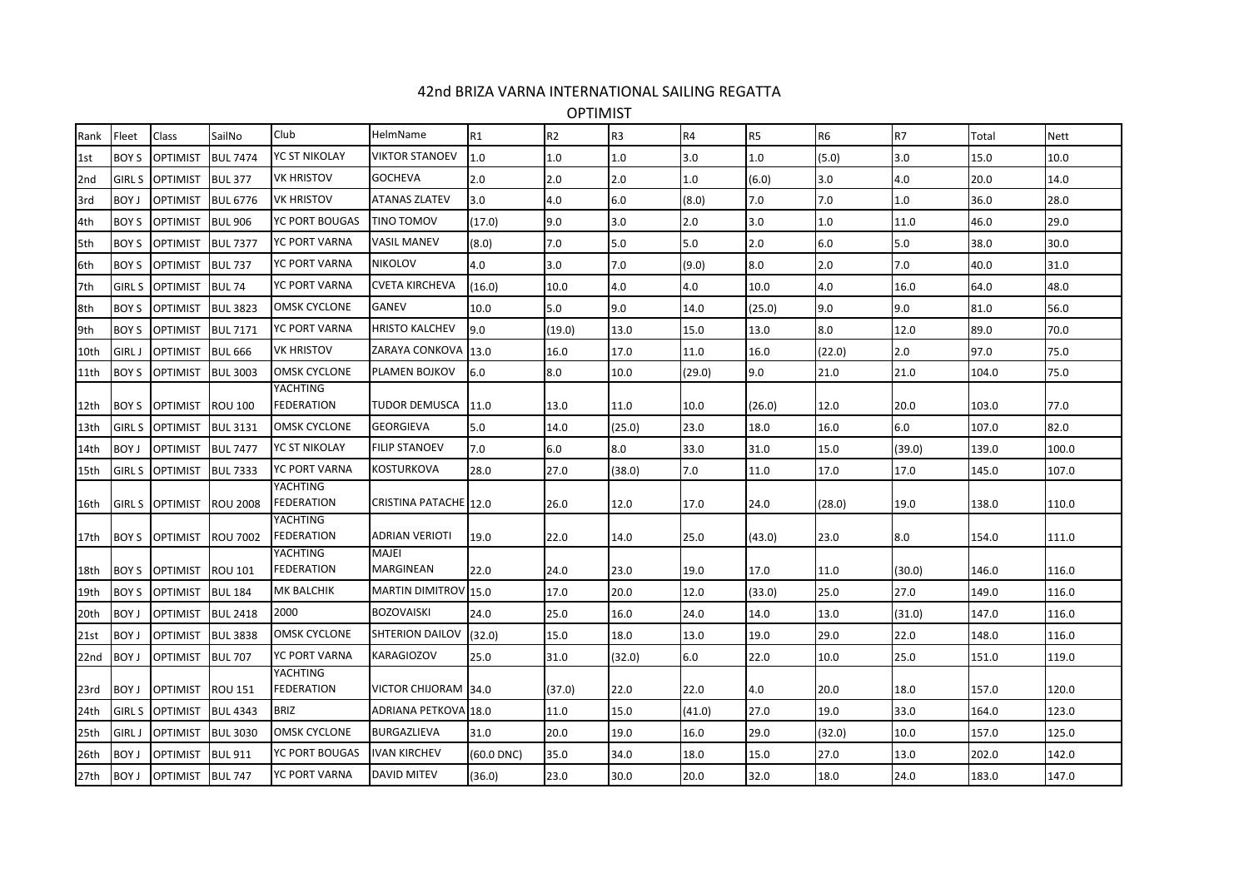## 42nd BRIZA VARNA INTERNATIONAL SAILING REGATTA

OPTIMIST

| Rank            | Fleet         | Class                  | SailNo          | Club                          | HelmName                  | R1         | R <sub>2</sub> | R <sub>3</sub> | <b>R4</b> | R <sub>5</sub> | R <sub>6</sub> | R7     | Total | <b>Nett</b> |
|-----------------|---------------|------------------------|-----------------|-------------------------------|---------------------------|------------|----------------|----------------|-----------|----------------|----------------|--------|-------|-------------|
| 1st             | <b>BOY S</b>  | <b>OPTIMIST</b>        | <b>BUL 7474</b> | YC ST NIKOLAY                 | <b>VIKTOR STANOEV</b>     | $1.0\,$    | 1.0            | 1.0            | 3.0       | 1.0            | (5.0)          | 3.0    | 15.0  | 10.0        |
| 2 <sub>nd</sub> | <b>GIRL S</b> | <b>OPTIMIST</b>        | <b>BUL 377</b>  | <b>VK HRISTOV</b>             | <b>GOCHEVA</b>            | 2.0        | 2.0            | 2.0            | 1.0       | (6.0)          | 3.0            | 4.0    | 20.0  | 14.0        |
| 3rd             | <b>BOY J</b>  | <b>OPTIMIST</b>        | <b>BUL 6776</b> | <b>VK HRISTOV</b>             | <b>ATANAS ZLATEV</b>      | 3.0        | 4.0            | 6.0            | (8.0)     | 7.0            | 7.0            | 1.0    | 36.0  | 28.0        |
| 4th             | <b>BOY S</b>  | <b>OPTIMIST</b>        | <b>BUL 906</b>  | YC PORT BOUGAS                | <b>TINO TOMOV</b>         | (17.0)     | 9.0            | 3.0            | 2.0       | 3.0            | 1.0            | 11.0   | 46.0  | 29.0        |
| 5th             | <b>BOY S</b>  | OPTIMIST               | <b>BUL 7377</b> | YC PORT VARNA                 | <b>VASIL MANEV</b>        | (8.0)      | 7.0            | 5.0            | 5.0       | 2.0            | 6.0            | 5.0    | 38.0  | 30.0        |
| 6th             | <b>BOY S</b>  | <b>OPTIMIST</b>        | <b>BUL 737</b>  | YC PORT VARNA                 | <b>NIKOLOV</b>            | 4.0        | 3.0            | 7.0            | (9.0)     | 8.0            | 2.0            | 7.0    | 40.0  | 31.0        |
| 7th             | <b>GIRL S</b> | <b>OPTIMIST</b>        | <b>BUL 74</b>   | YC PORT VARNA                 | <b>CVETA KIRCHEVA</b>     | (16.0)     | 10.0           | 4.0            | 4.0       | 10.0           | 4.0            | 16.0   | 64.0  | 48.0        |
| 8th             | <b>BOY S</b>  | <b>OPTIMIST</b>        | <b>BUL 3823</b> | <b>OMSK CYCLONE</b>           | <b>GANEV</b>              | 10.0       | 5.0            | 9.0            | 14.0      | (25.0)         | 9.0            | 9.0    | 81.0  | 56.0        |
| 9th             | <b>BOY S</b>  | <b>OPTIMIST</b>        | <b>BUL 7171</b> | YC PORT VARNA                 | <b>HRISTO KALCHEV</b>     | 9.0        | (19.0)         | 13.0           | 15.0      | 13.0           | 8.0            | 12.0   | 89.0  | 70.0        |
| 10th            | <b>GIRL J</b> | <b>OPTIMIST</b>        | <b>BUL 666</b>  | <b>VK HRISTOV</b>             | ZARAYA CONKOVA            | 13.0       | 16.0           | 17.0           | 11.0      | 16.0           | (22.0)         | 2.0    | 97.0  | 75.0        |
| 11th            | <b>BOY S</b>  | <b>OPTIMIST</b>        | <b>BUL 3003</b> | <b>OMSK CYCLONE</b>           | PLAMEN BOJKOV             | 6.0        | 8.0            | 10.0           | (29.0)    | 9.0            | 21.0           | 21.0   | 104.0 | 75.0        |
| 12th            | <b>BOY S</b>  | <b>OPTIMIST</b>        | <b>ROU 100</b>  | YACHTING<br><b>FEDERATION</b> | TUDOR DEMUSCA             | 11.0       | 13.0           | 11.0           | 10.0      | (26.0)         | 12.0           | 20.0   | 103.0 | 77.0        |
| 13th            | <b>GIRL S</b> | <b>OPTIMIST</b>        | <b>BUL 3131</b> | <b>OMSK CYCLONE</b>           | <b>GEORGIEVA</b>          | 5.0        | 14.0           | (25.0)         | 23.0      | 18.0           | 16.0           | 6.0    | 107.0 | 82.0        |
| 14th            | <b>BOY J</b>  | <b>OPTIMIST</b>        | <b>BUL 7477</b> | YC ST NIKOLAY                 | <b>FILIP STANOEV</b>      | 7.0        | 6.0            | 8.0            | 33.0      | 31.0           | 15.0           | (39.0) | 139.0 | 100.0       |
| 15th            | <b>GIRL S</b> | <b>OPTIMIST</b>        | <b>BUL 7333</b> | YC PORT VARNA                 | KOSTURKOVA                | 28.0       | 27.0           | (38.0)         | 7.0       | 11.0           | 17.0           | 17.0   | 145.0 | 107.0       |
| 16th            |               | <b>GIRL S OPTIMIST</b> | <b>ROU 2008</b> | YACHTING<br><b>FEDERATION</b> | CRISTINA PATACHE 12.0     |            | 26.0           | 12.0           | 17.0      | 24.0           | (28.0)         | 19.0   | 138.0 | 110.0       |
| 17th            | BOY S         | <b>OPTIMIST</b>        | <b>ROU 7002</b> | YACHTING<br><b>FEDERATION</b> | <b>ADRIAN VERIOTI</b>     | 19.0       | 22.0           | 14.0           | 25.0      | (43.0)         | 23.0           | 8.0    | 154.0 | 111.0       |
| 18th            | BOY S         | <b>OPTIMIST</b>        | <b>ROU 101</b>  | YACHTING<br><b>FEDERATION</b> | <b>MAJEI</b><br>MARGINEAN | 22.0       | 24.0           | 23.0           | 19.0      | 17.0           | 11.0           | (30.0) | 146.0 | 116.0       |
| 19th            | <b>BOY S</b>  | <b>OPTIMIST</b>        | <b>BUL 184</b>  | MK BALCHIK                    | MARTIN DIMITROV 15.0      |            | 17.0           | 20.0           | 12.0      | (33.0)         | 25.0           | 27.0   | 149.0 | 116.0       |
| 20th            | <b>BOY J</b>  | <b>OPTIMIST</b>        | <b>BUL 2418</b> | 2000                          | <b>BOZOVAISKI</b>         | 24.0       | 25.0           | 16.0           | 24.0      | 14.0           | 13.0           | (31.0) | 147.0 | 116.0       |
| 21st            | <b>BOY J</b>  | <b>OPTIMIST</b>        | <b>BUL 3838</b> | <b>OMSK CYCLONE</b>           | SHTERION DAILOV           | (32.0)     | 15.0           | 18.0           | 13.0      | 19.0           | 29.0           | 22.0   | 148.0 | 116.0       |
| 22nd            | <b>BOY J</b>  | <b>OPTIMIST</b>        | <b>BUL 707</b>  | YC PORT VARNA                 | <b>KARAGIOZOV</b>         | 25.0       | 31.0           | (32.0)         | 6.0       | 22.0           | 10.0           | 25.0   | 151.0 | 119.0       |
| 23rd            | <b>BOY J</b>  | <b>OPTIMIST</b>        | <b>ROU 151</b>  | YACHTING<br><b>FEDERATION</b> | VICTOR CHIJORAM 34.0      |            | (37.0)         | 22.0           | 22.0      | 4.0            | 20.0           | 18.0   | 157.0 | 120.0       |
| 24th            | <b>GIRL S</b> | <b>OPTIMIST</b>        | <b>BUL 4343</b> | <b>BRIZ</b>                   | ADRIANA PETKOVA 18.0      |            | 11.0           | 15.0           | (41.0)    | 27.0           | 19.0           | 33.0   | 164.0 | 123.0       |
| 25th            | <b>GIRL J</b> | <b>OPTIMIST</b>        | <b>BUL 3030</b> | <b>OMSK CYCLONE</b>           | <b>BURGAZLIEVA</b>        | 31.0       | 20.0           | 19.0           | 16.0      | 29.0           | (32.0)         | 10.0   | 157.0 | 125.0       |
| 26th            | <b>BOY J</b>  | <b>OPTIMIST</b>        | <b>BUL 911</b>  | YC PORT BOUGAS                | <b>IVAN KIRCHEV</b>       | (60.0 DNC) | 35.0           | 34.0           | 18.0      | 15.0           | 27.0           | 13.0   | 202.0 | 142.0       |
| 27th            | BOY J         | <b>OPTIMIST</b>        | <b>BUL 747</b>  | YC PORT VARNA                 | <b>DAVID MITEV</b>        | (36.0)     | 23.0           | 30.0           | 20.0      | 32.0           | 18.0           | 24.0   | 183.0 | 147.0       |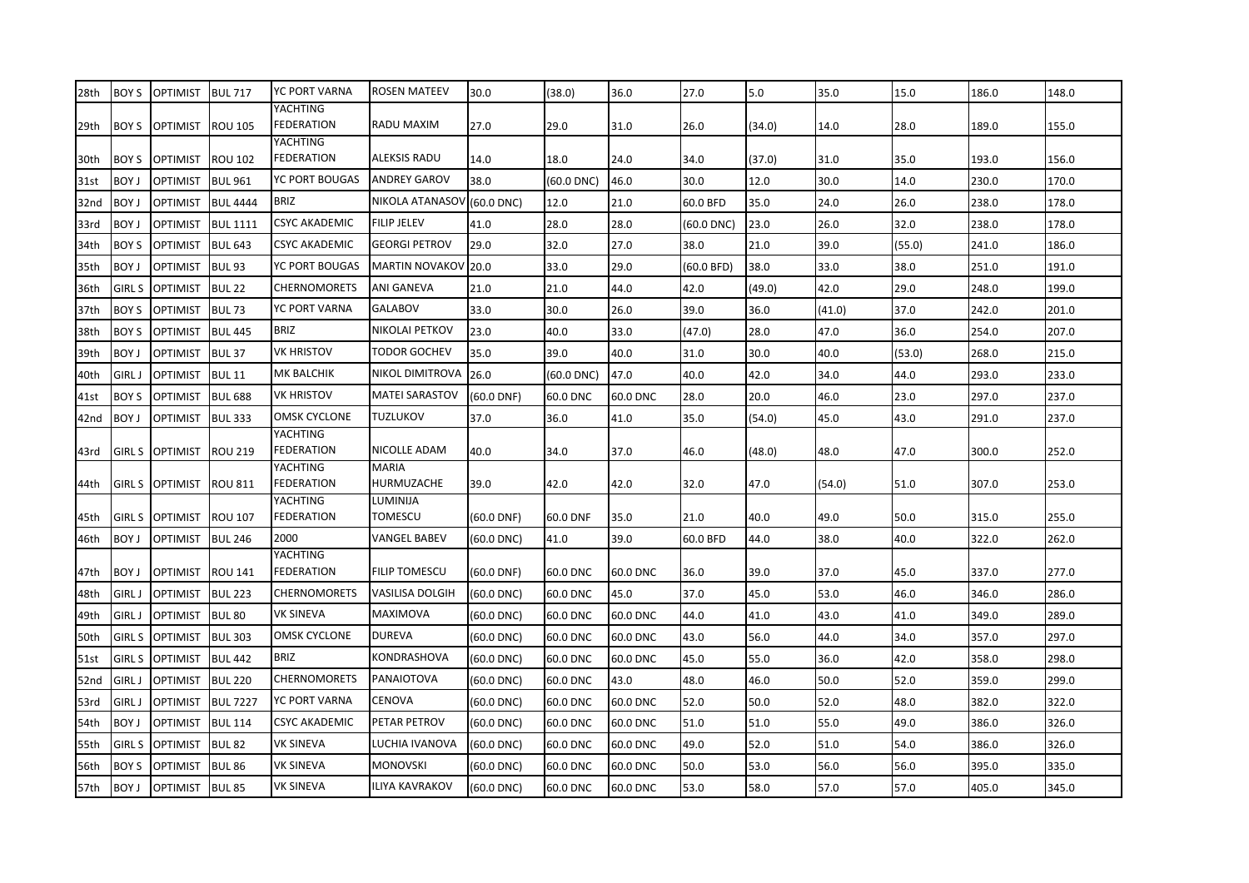| 28th        | <b>BOY S</b>  | <b>OPTIMIST</b> | <b>BUL 717</b>    | YC PORT VARNA                        | <b>ROSEN MATEEV</b>        | 30.0            | (38.0)     | 36.0     | 27.0         | 5.0    | 35.0   | 15.0   | 186.0 | 148.0 |
|-------------|---------------|-----------------|-------------------|--------------------------------------|----------------------------|-----------------|------------|----------|--------------|--------|--------|--------|-------|-------|
| 29th        | <b>BOY S</b>  | <b>OPTIMIST</b> | <b>ROU 105</b>    | YACHTING<br><b>FEDERATION</b>        | RADU MAXIM                 | 27.0            | 29.0       | 31.0     | 26.0         | (34.0) | 14.0   | 28.0   | 189.0 | 155.0 |
| 30th        | <b>BOY S</b>  | <b>OPTIMIST</b> | <b>ROU 102</b>    | <b>YACHTING</b><br><b>FEDERATION</b> | ALEKSIS RADU               | 14.0            | 18.0       | 24.0     | 34.0         | (37.0) | 31.0   | 35.0   | 193.0 | 156.0 |
| 31st        | <b>BOY J</b>  | <b>OPTIMIST</b> | <b>BUL 961</b>    | YC PORT BOUGAS                       | <b>ANDREY GAROV</b>        | 38.0            | (60.0 DNC) | 46.0     | 30.0         | 12.0   | 30.0   | 14.0   | 230.0 | 170.0 |
| 32nd        | <b>BOY J</b>  | <b>OPTIMIST</b> | <b>BUL 4444</b>   | <b>BRIZ</b>                          | NIKOLA ATANASOV            | $(60.0$ DNC)    | 12.0       | 21.0     | 60.0 BFD     | 35.0   | 24.0   | 26.0   | 238.0 | 178.0 |
| 33rd        | <b>BOY J</b>  | <b>OPTIMIST</b> | <b>BUL 1111</b>   | <b>CSYC AKADEMIC</b>                 | <b>FILIP JELEV</b>         | 41.0            | 28.0       | 28.0     | $(60.0$ DNC) | 23.0   | 26.0   | 32.0   | 238.0 | 178.0 |
| 34th        | <b>BOY S</b>  | <b>OPTIMIST</b> | <b>BUL 643</b>    | CSYC AKADEMIC                        | <b>GEORGI PETROV</b>       | 29.0            | 32.0       | 27.0     | 38.0         | 21.0   | 39.0   | (55.0) | 241.0 | 186.0 |
| 35th        | <b>BOY J</b>  | <b>OPTIMIST</b> | BUL <sub>93</sub> | YC PORT BOUGAS                       | <b>MARTIN NOVAKOV</b>      | 20.0            | 33.0       | 29.0     | (60.0 BFD)   | 38.0   | 33.0   | 38.0   | 251.0 | 191.0 |
| 36th        | <b>GIRL S</b> | <b>OPTIMIST</b> | <b>BUL 22</b>     | <b>CHERNOMORETS</b>                  | ANI GANEVA                 | 21.0            | 21.0       | 44.0     | 42.0         | (49.0) | 42.0   | 29.0   | 248.0 | 199.0 |
| 37th        | <b>BOY S</b>  | <b>OPTIMIST</b> | <b>BUL 73</b>     | YC PORT VARNA                        | <b>GALABOV</b>             | 33.0            | 30.0       | 26.0     | 39.0         | 36.0   | (41.0) | 37.0   | 242.0 | 201.0 |
| 38th        | <b>BOY S</b>  | <b>OPTIMIST</b> | <b>BUL 445</b>    | <b>BRIZ</b>                          | NIKOLAI PETKOV             | 23.0            | 40.0       | 33.0     | (47.0)       | 28.0   | 47.0   | 36.0   | 254.0 | 207.0 |
| 39th        | <b>BOY J</b>  | <b>OPTIMIST</b> | <b>BUL 37</b>     | <b>VK HRISTOV</b>                    | TODOR GOCHEV               | 35.0            | 39.0       | 40.0     | 31.0         | 30.0   | 40.0   | (53.0) | 268.0 | 215.0 |
| 40th        | <b>GIRL J</b> | <b>OPTIMIST</b> | <b>BUL 11</b>     | MK BALCHIK                           | NIKOL DIMITROVA            | 26.0            | (60.0 DNC) | 47.0     | 40.0         | 42.0   | 34.0   | 44.0   | 293.0 | 233.0 |
| 41st        | <b>BOY S</b>  | <b>OPTIMIST</b> | <b>BUL 688</b>    | <b>VK HRISTOV</b>                    | <b>MATEI SARASTOV</b>      | $(60.0$ DNF)    | 60.0 DNC   | 60.0 DNC | 28.0         | 20.0   | 46.0   | 23.0   | 297.0 | 237.0 |
| 42nd        | <b>BOY J</b>  | <b>OPTIMIST</b> | <b>BUL 333</b>    | <b>OMSK CYCLONE</b>                  | TUZLUKOV                   | 37.0            | 36.0       | 41.0     | 35.0         | (54.0) | 45.0   | 43.0   | 291.0 | 237.0 |
| 43rd        | <b>GIRL S</b> | <b>OPTIMIST</b> | <b>ROU 219</b>    | YACHTING<br><b>FEDERATION</b>        | NICOLLE ADAM               | 40.0            | 34.0       | 37.0     | 46.0         | (48.0) | 48.0   | 47.0   | 300.0 | 252.0 |
| 44th        | <b>GIRL S</b> | <b>OPTIMIST</b> | <b>ROU 811</b>    | YACHTING<br><b>FEDERATION</b>        | <b>MARIA</b><br>HURMUZACHE | 39.0            | 42.0       | 42.0     | 32.0         | 47.0   | (54.0) | 51.0   | 307.0 | 253.0 |
| 45th        | <b>GIRL S</b> | <b>OPTIMIST</b> | <b>ROU 107</b>    | YACHTING<br><b>FEDERATION</b>        | LUMINIJA<br>TOMESCU        | $(60.0$ DNF)    | 60.0 DNF   | 35.0     | 21.0         | 40.0   | 49.0   | 50.0   | 315.0 | 255.0 |
| 46th        | <b>BOY J</b>  | <b>OPTIMIST</b> | <b>BUL 246</b>    | 2000                                 | <b>VANGEL BABEV</b>        | $(60.0$ DNC)    | 41.0       | 39.0     | 60.0 BFD     | 44.0   | 38.0   | 40.0   | 322.0 | 262.0 |
|             |               |                 |                   | <b>YACHTING</b>                      |                            |                 |            |          |              |        |        |        |       |       |
| 47th        | <b>BOY J</b>  | <b>OPTIMIST</b> | <b>ROU 141</b>    | FEDERATION                           | <b>FILIP TOMESCU</b>       | $(60.0$ DNF)    | 60.0 DNC   | 60.0 DNC | 36.0         | 39.0   | 37.0   | 45.0   | 337.0 | 277.0 |
| 48th        | <b>GIRL J</b> | <b>OPTIMIST</b> | <b>BUL 223</b>    | <b>CHERNOMORETS</b>                  | <b>VASILISA DOLGIH</b>     | $(60.0$ DNC)    | 60.0 DNC   | 45.0     | 37.0         | 45.0   | 53.0   | 46.0   | 346.0 | 286.0 |
| 49th        | <b>GIRL J</b> | <b>OPTIMIST</b> | BUL <sub>80</sub> | <b>VK SINEVA</b>                     | MAXIMOVA                   | $(60.0$ DNC $)$ | 60.0 DNC   | 60.0 DNC | 44.0         | 41.0   | 43.0   | 41.0   | 349.0 | 289.0 |
| 50th        | <b>GIRL S</b> | <b>OPTIMIST</b> | <b>BUL 303</b>    | <b>OMSK CYCLONE</b>                  | <b>DUREVA</b>              | (60.0 DNC)      | 60.0 DNC   | 60.0 DNC | 43.0         | 56.0   | 44.0   | 34.0   | 357.0 | 297.0 |
| <b>51st</b> | <b>GIRL S</b> | <b>OPTIMIST</b> | <b>BUL 442</b>    | <b>BRIZ</b>                          | KONDRASHOVA                | (60.0 DNC)      | 60.0 DNC   | 60.0 DNC | 45.0         | 55.0   | 36.0   | 42.0   | 358.0 | 298.0 |
| 52nd        | <b>GIRL J</b> | <b>OPTIMIST</b> | <b>BUL 220</b>    | <b>CHERNOMORETS</b>                  | PANAIOTOVA                 | $(60.0$ DNC)    | 60.0 DNC   | 43.0     | 48.0         | 46.0   | 50.0   | 52.0   | 359.0 | 299.0 |
| 53rd        | <b>GIRL J</b> | <b>OPTIMIST</b> | <b>BUL 7227</b>   | <b>YC PORT VARNA</b>                 | <b>CENOVA</b>              | $(60.0$ DNC $)$ | 60.0 DNC   | 60.0 DNC | 52.0         | 50.0   | 52.0   | 48.0   | 382.0 | 322.0 |
| 54th        | <b>BOY J</b>  | <b>OPTIMIST</b> | <b>BUL 114</b>    | <b>CSYC AKADEMIC</b>                 | PETAR PETROV               | $(60.0$ DNC)    | 60.0 DNC   | 60.0 DNC | 51.0         | 51.0   | 55.0   | 49.0   | 386.0 | 326.0 |
| 55th        | <b>GIRL S</b> | <b>OPTIMIST</b> | <b>BUL 82</b>     | VK SINEVA                            | LUCHIA IVANOVA             | $(60.0$ DNC)    | 60.0 DNC   | 60.0 DNC | 49.0         | 52.0   | 51.0   | 54.0   | 386.0 | 326.0 |
| 56th        | BOY S         | <b>OPTIMIST</b> | <b>BUL 86</b>     | VK SINEVA                            | <b>MONOVSKI</b>            | $(60.0$ DNC)    | 60.0 DNC   | 60.0 DNC | 50.0         | 53.0   | 56.0   | 56.0   | 395.0 | 335.0 |
| 57th        | <b>BOY J</b>  | <b>OPTIMIST</b> | <b>BUL 85</b>     | VK SINEVA                            | <b>ILIYA KAVRAKOV</b>      | $(60.0$ DNC $)$ | 60.0 DNC   | 60.0 DNC | 53.0         | 58.0   | 57.0   | 57.0   | 405.0 | 345.0 |